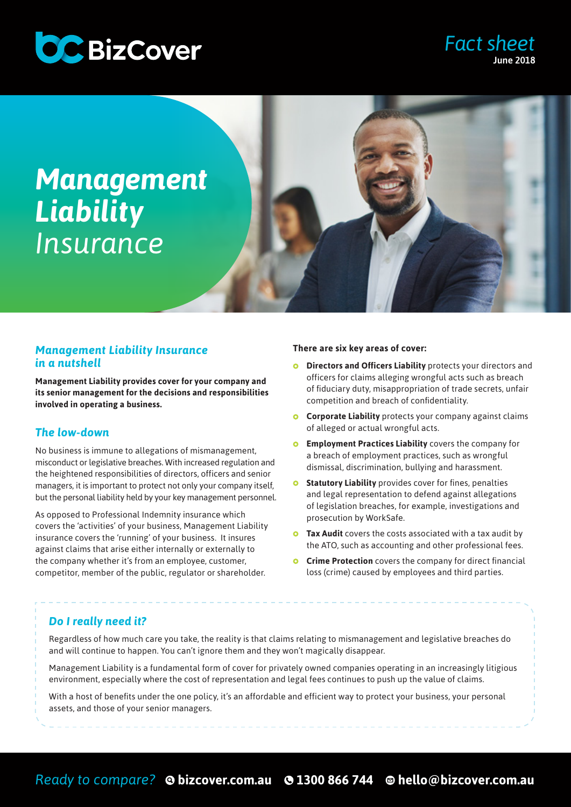

# *Fact sheet* June 2018

# *Management Liability Insurance*

### *Management Liability Insurance in a nutshell*

**Management Liability provides cover for your company and its senior management for the decisions and responsibilities involved in operating a business.** 

# *The low-down*

No business is immune to allegations of mismanagement, misconduct or legislative breaches. With increased regulation and the heightened responsibilities of directors, officers and senior managers, it is important to protect not only your company itself, but the personal liability held by your key management personnel.

As opposed to Professional Indemnity insurance which covers the 'activities' of your business, Management Liability insurance covers the 'running' of your business. It insures against claims that arise either internally or externally to the company whether it's from an employee, customer, competitor, member of the public, regulator or shareholder.

#### **There are six key areas of cover:**

- **Directors and Officers Liability** protects your directors and  $\bullet$ officers for claims alleging wrongful acts such as breach of fiduciary duty, misappropriation of trade secrets, unfair competition and breach of confidentiality.
- **Corporate Liability** protects your company against claims of alleged or actual wrongful acts.
- **Employment Practices Liability** covers the company for a breach of employment practices, such as wrongful dismissal, discrimination, bullying and harassment.
- **Statutory Liability** provides cover for fines, penalties  $\bullet$ and legal representation to defend against allegations of legislation breaches, for example, investigations and prosecution by WorkSafe.
- **Tax Audit** covers the costs associated with a tax audit by the ATO, such as accounting and other professional fees.
- **Crime Protection** covers the company for direct financial loss (crime) caused by employees and third parties.

# *Do I really need it?*

Regardless of how much care you take, the reality is that claims relating to mismanagement and legislative breaches do and will continue to happen. You can't ignore them and they won't magically disappear.

Management Liability is a fundamental form of cover for privately owned companies operating in an increasingly litigious environment, especially where the cost of representation and legal fees continues to push up the value of claims.

With a host of benefits under the one policy, it's an affordable and efficient way to protect your business, your personal assets, and those of your senior managers.